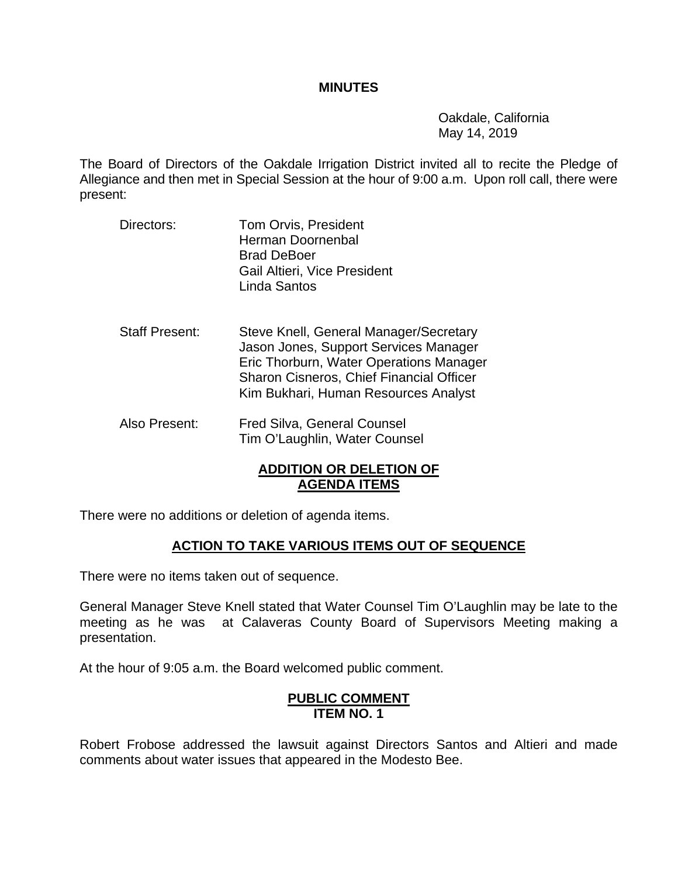#### **MINUTES**

 Oakdale, California May 14, 2019

The Board of Directors of the Oakdale Irrigation District invited all to recite the Pledge of Allegiance and then met in Special Session at the hour of 9:00 a.m. Upon roll call, there were present:

- Directors: Tom Orvis, President Herman Doornenbal Brad DeBoer Gail Altieri, Vice President Linda Santos
- Staff Present: Steve Knell, General Manager/Secretary Jason Jones, Support Services Manager Eric Thorburn, Water Operations Manager Sharon Cisneros, Chief Financial Officer Kim Bukhari, Human Resources Analyst
- Also Present: Fred Silva, General Counsel Tim O'Laughlin, Water Counsel

# **ADDITION OR DELETION OF AGENDA ITEMS**

There were no additions or deletion of agenda items.

## **ACTION TO TAKE VARIOUS ITEMS OUT OF SEQUENCE**

There were no items taken out of sequence.

General Manager Steve Knell stated that Water Counsel Tim O'Laughlin may be late to the meeting as he was at Calaveras County Board of Supervisors Meeting making a presentation.

At the hour of 9:05 a.m. the Board welcomed public comment.

### **PUBLIC COMMENT ITEM NO. 1**

Robert Frobose addressed the lawsuit against Directors Santos and Altieri and made comments about water issues that appeared in the Modesto Bee.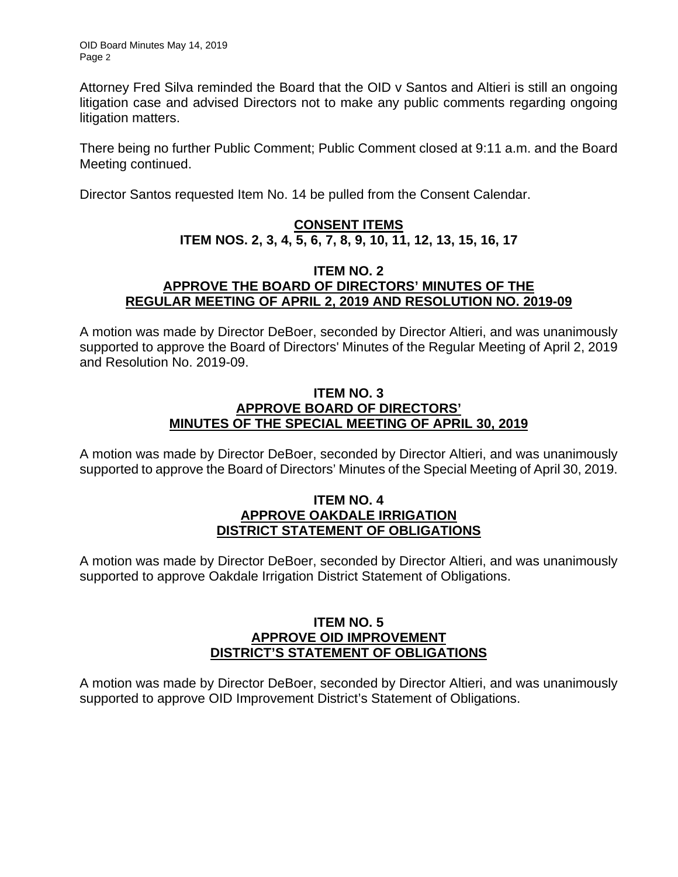Attorney Fred Silva reminded the Board that the OID v Santos and Altieri is still an ongoing litigation case and advised Directors not to make any public comments regarding ongoing litigation matters.

There being no further Public Comment; Public Comment closed at 9:11 a.m. and the Board Meeting continued.

Director Santos requested Item No. 14 be pulled from the Consent Calendar.

# **CONSENT ITEMS ITEM NOS. 2, 3, 4, 5, 6, 7, 8, 9, 10, 11, 12, 13, 15, 16, 17**

#### **ITEM NO. 2 APPROVE THE BOARD OF DIRECTORS' MINUTES OF THE REGULAR MEETING OF APRIL 2, 2019 AND RESOLUTION NO. 2019-09**

A motion was made by Director DeBoer, seconded by Director Altieri, and was unanimously supported to approve the Board of Directors' Minutes of the Regular Meeting of April 2, 2019 and Resolution No. 2019-09.

## **ITEM NO. 3 APPROVE BOARD OF DIRECTORS' MINUTES OF THE SPECIAL MEETING OF APRIL 30, 2019**

A motion was made by Director DeBoer, seconded by Director Altieri, and was unanimously supported to approve the Board of Directors' Minutes of the Special Meeting of April 30, 2019.

### **ITEM NO. 4 APPROVE OAKDALE IRRIGATION DISTRICT STATEMENT OF OBLIGATIONS**

A motion was made by Director DeBoer, seconded by Director Altieri, and was unanimously supported to approve Oakdale Irrigation District Statement of Obligations.

## **ITEM NO. 5 APPROVE OID IMPROVEMENT DISTRICT'S STATEMENT OF OBLIGATIONS**

A motion was made by Director DeBoer, seconded by Director Altieri, and was unanimously supported to approve OID Improvement District's Statement of Obligations.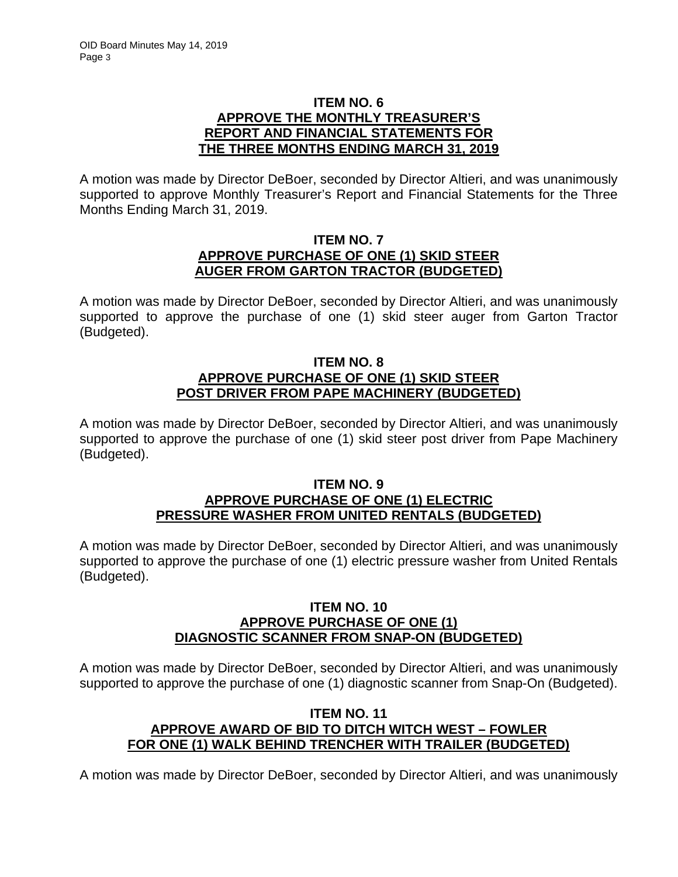## **ITEM NO. 6 APPROVE THE MONTHLY TREASURER'S REPORT AND FINANCIAL STATEMENTS FOR THE THREE MONTHS ENDING MARCH 31, 2019**

A motion was made by Director DeBoer, seconded by Director Altieri, and was unanimously supported to approve Monthly Treasurer's Report and Financial Statements for the Three Months Ending March 31, 2019.

## **ITEM NO. 7 APPROVE PURCHASE OF ONE (1) SKID STEER AUGER FROM GARTON TRACTOR (BUDGETED)**

A motion was made by Director DeBoer, seconded by Director Altieri, and was unanimously supported to approve the purchase of one (1) skid steer auger from Garton Tractor (Budgeted).

## **ITEM NO. 8 APPROVE PURCHASE OF ONE (1) SKID STEER POST DRIVER FROM PAPE MACHINERY (BUDGETED)**

A motion was made by Director DeBoer, seconded by Director Altieri, and was unanimously supported to approve the purchase of one (1) skid steer post driver from Pape Machinery (Budgeted).

### **ITEM NO. 9 APPROVE PURCHASE OF ONE (1) ELECTRIC PRESSURE WASHER FROM UNITED RENTALS (BUDGETED)**

A motion was made by Director DeBoer, seconded by Director Altieri, and was unanimously supported to approve the purchase of one (1) electric pressure washer from United Rentals (Budgeted).

### **ITEM NO. 10 APPROVE PURCHASE OF ONE (1) DIAGNOSTIC SCANNER FROM SNAP-ON (BUDGETED)**

A motion was made by Director DeBoer, seconded by Director Altieri, and was unanimously supported to approve the purchase of one (1) diagnostic scanner from Snap-On (Budgeted).

# **ITEM NO. 11 APPROVE AWARD OF BID TO DITCH WITCH WEST – FOWLER FOR ONE (1) WALK BEHIND TRENCHER WITH TRAILER (BUDGETED)**

A motion was made by Director DeBoer, seconded by Director Altieri, and was unanimously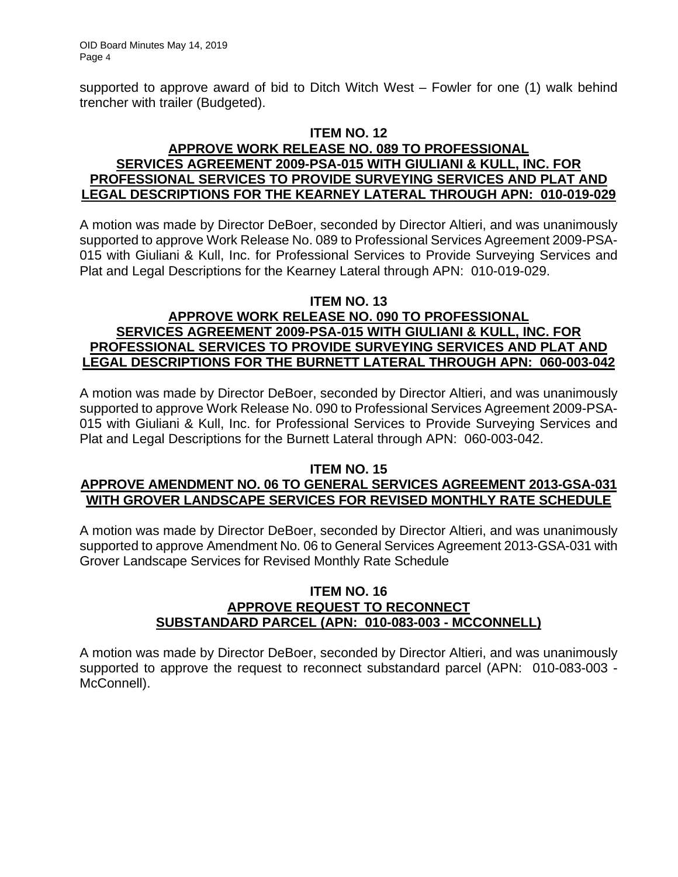supported to approve award of bid to Ditch Witch West – Fowler for one (1) walk behind trencher with trailer (Budgeted).

### **ITEM NO. 12 APPROVE WORK RELEASE NO. 089 TO PROFESSIONAL SERVICES AGREEMENT 2009-PSA-015 WITH GIULIANI & KULL, INC. FOR PROFESSIONAL SERVICES TO PROVIDE SURVEYING SERVICES AND PLAT AND LEGAL DESCRIPTIONS FOR THE KEARNEY LATERAL THROUGH APN: 010-019-029**

A motion was made by Director DeBoer, seconded by Director Altieri, and was unanimously supported to approve Work Release No. 089 to Professional Services Agreement 2009-PSA-015 with Giuliani & Kull, Inc. for Professional Services to Provide Surveying Services and Plat and Legal Descriptions for the Kearney Lateral through APN: 010-019-029.

### **ITEM NO. 13**

# **APPROVE WORK RELEASE NO. 090 TO PROFESSIONAL SERVICES AGREEMENT 2009-PSA-015 WITH GIULIANI & KULL, INC. FOR PROFESSIONAL SERVICES TO PROVIDE SURVEYING SERVICES AND PLAT AND LEGAL DESCRIPTIONS FOR THE BURNETT LATERAL THROUGH APN: 060-003-042**

A motion was made by Director DeBoer, seconded by Director Altieri, and was unanimously supported to approve Work Release No. 090 to Professional Services Agreement 2009-PSA-015 with Giuliani & Kull, Inc. for Professional Services to Provide Surveying Services and Plat and Legal Descriptions for the Burnett Lateral through APN: 060-003-042.

#### **ITEM NO. 15**

# **APPROVE AMENDMENT NO. 06 TO GENERAL SERVICES AGREEMENT 2013-GSA-031 WITH GROVER LANDSCAPE SERVICES FOR REVISED MONTHLY RATE SCHEDULE**

A motion was made by Director DeBoer, seconded by Director Altieri, and was unanimously supported to approve Amendment No. 06 to General Services Agreement 2013-GSA-031 with Grover Landscape Services for Revised Monthly Rate Schedule

### **ITEM NO. 16 APPROVE REQUEST TO RECONNECT SUBSTANDARD PARCEL (APN: 010-083-003 - MCCONNELL)**

A motion was made by Director DeBoer, seconded by Director Altieri, and was unanimously supported to approve the request to reconnect substandard parcel (APN: 010-083-003 - McConnell).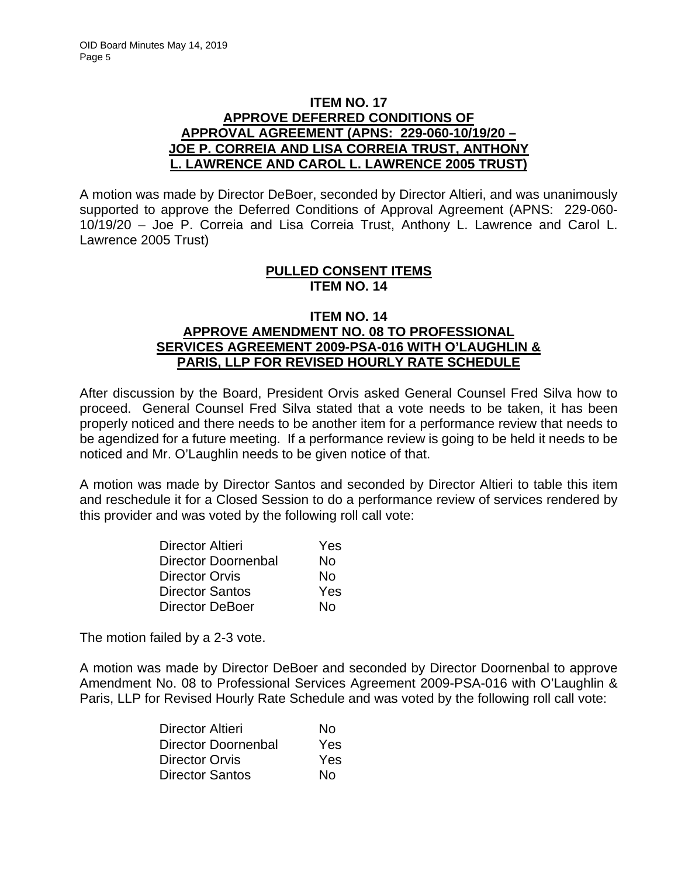## **ITEM NO. 17 APPROVE DEFERRED CONDITIONS OF APPROVAL AGREEMENT (APNS: 229-060-10/19/20 – JOE P. CORREIA AND LISA CORREIA TRUST, ANTHONY L. LAWRENCE AND CAROL L. LAWRENCE 2005 TRUST)**

A motion was made by Director DeBoer, seconded by Director Altieri, and was unanimously supported to approve the Deferred Conditions of Approval Agreement (APNS: 229-060- 10/19/20 – Joe P. Correia and Lisa Correia Trust, Anthony L. Lawrence and Carol L. Lawrence 2005 Trust)

### **PULLED CONSENT ITEMS ITEM NO. 14**

### **ITEM NO. 14 APPROVE AMENDMENT NO. 08 TO PROFESSIONAL SERVICES AGREEMENT 2009-PSA-016 WITH O'LAUGHLIN & PARIS, LLP FOR REVISED HOURLY RATE SCHEDULE**

After discussion by the Board, President Orvis asked General Counsel Fred Silva how to proceed. General Counsel Fred Silva stated that a vote needs to be taken, it has been properly noticed and there needs to be another item for a performance review that needs to be agendized for a future meeting. If a performance review is going to be held it needs to be noticed and Mr. O'Laughlin needs to be given notice of that.

A motion was made by Director Santos and seconded by Director Altieri to table this item and reschedule it for a Closed Session to do a performance review of services rendered by this provider and was voted by the following roll call vote:

| <b>Director Altieri</b>    | Yes |
|----------------------------|-----|
| <b>Director Doornenbal</b> | No  |
| <b>Director Orvis</b>      | No  |
| <b>Director Santos</b>     | Yes |
| <b>Director DeBoer</b>     | N٥  |

The motion failed by a 2-3 vote.

A motion was made by Director DeBoer and seconded by Director Doornenbal to approve Amendment No. 08 to Professional Services Agreement 2009-PSA-016 with O'Laughlin & Paris, LLP for Revised Hourly Rate Schedule and was voted by the following roll call vote:

| Director Altieri           | Nο         |
|----------------------------|------------|
| <b>Director Doornenbal</b> | Yes        |
| Director Orvis             | <b>Yes</b> |
| <b>Director Santos</b>     | Nο         |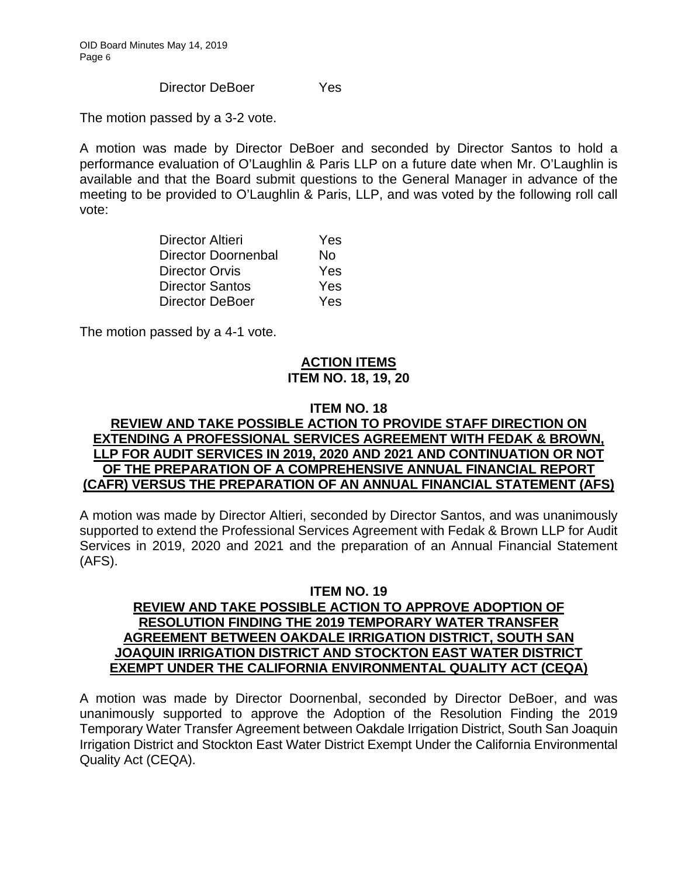Director DeBoer Yes

The motion passed by a 3-2 vote.

A motion was made by Director DeBoer and seconded by Director Santos to hold a performance evaluation of O'Laughlin & Paris LLP on a future date when Mr. O'Laughlin is available and that the Board submit questions to the General Manager in advance of the meeting to be provided to O'Laughlin & Paris, LLP, and was voted by the following roll call vote:

| Director Altieri       | Yes |
|------------------------|-----|
| Director Doornenbal    | Nο  |
| <b>Director Orvis</b>  | Yes |
| <b>Director Santos</b> | Yes |
| <b>Director DeBoer</b> | Yes |

The motion passed by a 4-1 vote.

# **ACTION ITEMS ITEM NO. 18, 19, 20**

## **ITEM NO. 18**

## **REVIEW AND TAKE POSSIBLE ACTION TO PROVIDE STAFF DIRECTION ON EXTENDING A PROFESSIONAL SERVICES AGREEMENT WITH FEDAK & BROWN, LLP FOR AUDIT SERVICES IN 2019, 2020 AND 2021 AND CONTINUATION OR NOT OF THE PREPARATION OF A COMPREHENSIVE ANNUAL FINANCIAL REPORT (CAFR) VERSUS THE PREPARATION OF AN ANNUAL FINANCIAL STATEMENT (AFS)**

A motion was made by Director Altieri, seconded by Director Santos, and was unanimously supported to extend the Professional Services Agreement with Fedak & Brown LLP for Audit Services in 2019, 2020 and 2021 and the preparation of an Annual Financial Statement (AFS).

### **ITEM NO. 19 REVIEW AND TAKE POSSIBLE ACTION TO APPROVE ADOPTION OF RESOLUTION FINDING THE 2019 TEMPORARY WATER TRANSFER AGREEMENT BETWEEN OAKDALE IRRIGATION DISTRICT, SOUTH SAN JOAQUIN IRRIGATION DISTRICT AND STOCKTON EAST WATER DISTRICT EXEMPT UNDER THE CALIFORNIA ENVIRONMENTAL QUALITY ACT (CEQA)**

A motion was made by Director Doornenbal, seconded by Director DeBoer, and was unanimously supported to approve the Adoption of the Resolution Finding the 2019 Temporary Water Transfer Agreement between Oakdale Irrigation District, South San Joaquin Irrigation District and Stockton East Water District Exempt Under the California Environmental Quality Act (CEQA).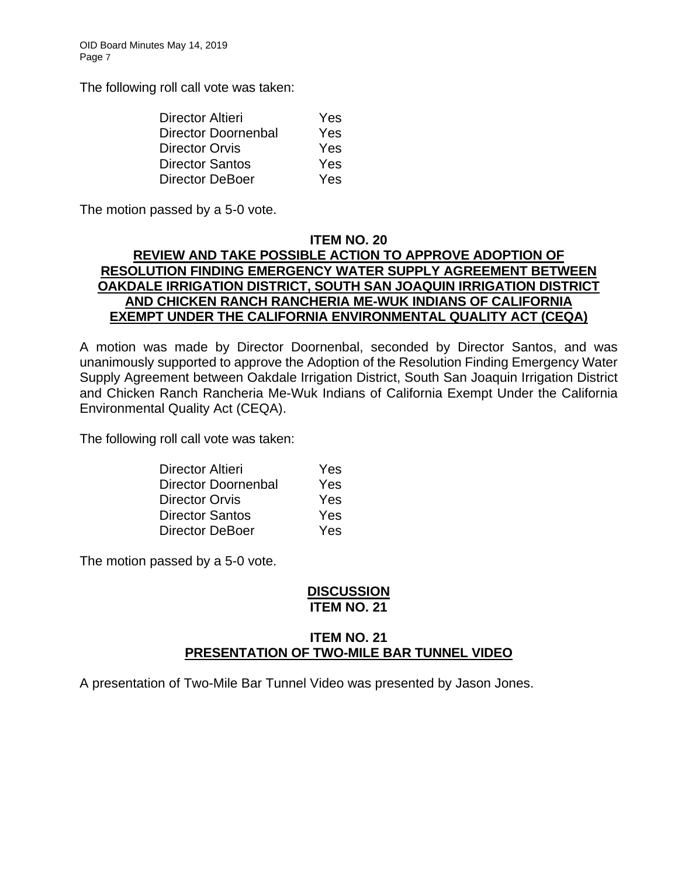The following roll call vote was taken:

| Yes        |
|------------|
| Yes        |
| Yes        |
| Yes        |
| <b>Yes</b> |
|            |

The motion passed by a 5-0 vote.

### **ITEM NO. 20**

# **REVIEW AND TAKE POSSIBLE ACTION TO APPROVE ADOPTION OF RESOLUTION FINDING EMERGENCY WATER SUPPLY AGREEMENT BETWEEN OAKDALE IRRIGATION DISTRICT, SOUTH SAN JOAQUIN IRRIGATION DISTRICT AND CHICKEN RANCH RANCHERIA ME-WUK INDIANS OF CALIFORNIA EXEMPT UNDER THE CALIFORNIA ENVIRONMENTAL QUALITY ACT (CEQA)**

A motion was made by Director Doornenbal, seconded by Director Santos, and was unanimously supported to approve the Adoption of the Resolution Finding Emergency Water Supply Agreement between Oakdale Irrigation District, South San Joaquin Irrigation District and Chicken Ranch Rancheria Me-Wuk Indians of California Exempt Under the California Environmental Quality Act (CEQA).

The following roll call vote was taken:

| <b>Director Altieri</b> | Yes |
|-------------------------|-----|
| Director Doornenbal     | Yes |
| <b>Director Orvis</b>   | Yes |
| <b>Director Santos</b>  | Yes |
| <b>Director DeBoer</b>  | Yes |

The motion passed by a 5-0 vote.

## **DISCUSSION ITEM NO. 21**

# **ITEM NO. 21 PRESENTATION OF TWO-MILE BAR TUNNEL VIDEO**

A presentation of Two-Mile Bar Tunnel Video was presented by Jason Jones.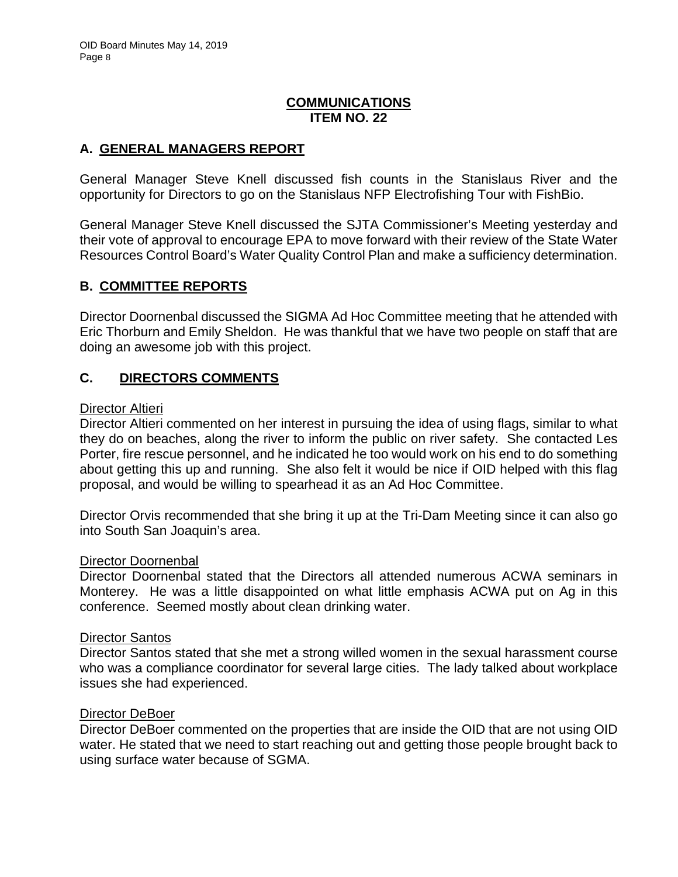# **COMMUNICATIONS ITEM NO. 22**

# **A. GENERAL MANAGERS REPORT**

General Manager Steve Knell discussed fish counts in the Stanislaus River and the opportunity for Directors to go on the Stanislaus NFP Electrofishing Tour with FishBio.

General Manager Steve Knell discussed the SJTA Commissioner's Meeting yesterday and their vote of approval to encourage EPA to move forward with their review of the State Water Resources Control Board's Water Quality Control Plan and make a sufficiency determination.

# **B. COMMITTEE REPORTS**

Director Doornenbal discussed the SIGMA Ad Hoc Committee meeting that he attended with Eric Thorburn and Emily Sheldon. He was thankful that we have two people on staff that are doing an awesome job with this project.

# **C. DIRECTORS COMMENTS**

### Director Altieri

Director Altieri commented on her interest in pursuing the idea of using flags, similar to what they do on beaches, along the river to inform the public on river safety. She contacted Les Porter, fire rescue personnel, and he indicated he too would work on his end to do something about getting this up and running. She also felt it would be nice if OID helped with this flag proposal, and would be willing to spearhead it as an Ad Hoc Committee.

Director Orvis recommended that she bring it up at the Tri-Dam Meeting since it can also go into South San Joaquin's area.

#### Director Doornenbal

Director Doornenbal stated that the Directors all attended numerous ACWA seminars in Monterey. He was a little disappointed on what little emphasis ACWA put on Ag in this conference. Seemed mostly about clean drinking water.

#### Director Santos

Director Santos stated that she met a strong willed women in the sexual harassment course who was a compliance coordinator for several large cities. The lady talked about workplace issues she had experienced.

#### Director DeBoer

Director DeBoer commented on the properties that are inside the OID that are not using OID water. He stated that we need to start reaching out and getting those people brought back to using surface water because of SGMA.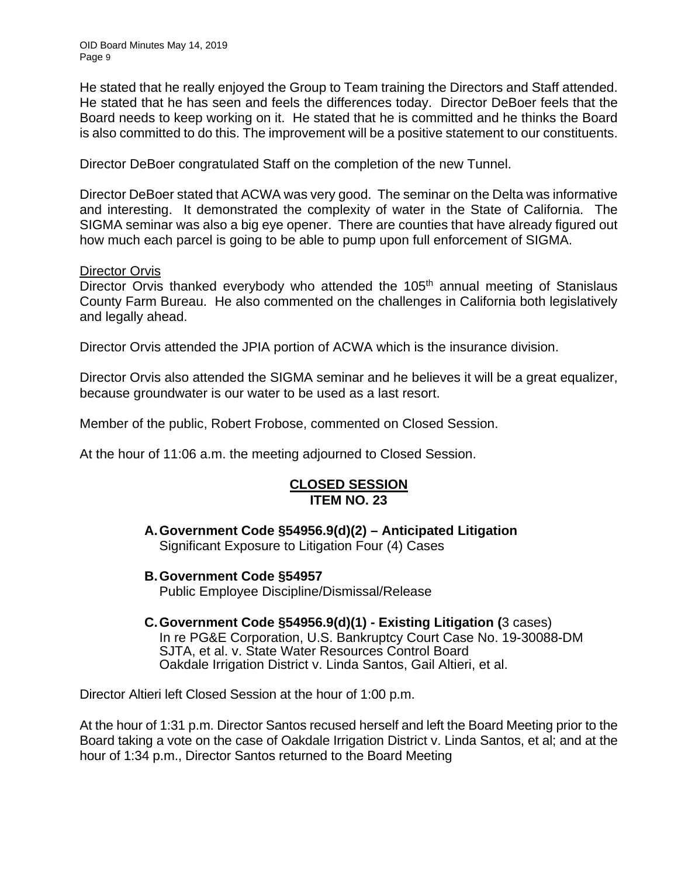He stated that he really enjoyed the Group to Team training the Directors and Staff attended. He stated that he has seen and feels the differences today. Director DeBoer feels that the Board needs to keep working on it. He stated that he is committed and he thinks the Board is also committed to do this. The improvement will be a positive statement to our constituents.

Director DeBoer congratulated Staff on the completion of the new Tunnel.

Director DeBoer stated that ACWA was very good. The seminar on the Delta was informative and interesting. It demonstrated the complexity of water in the State of California. The SIGMA seminar was also a big eye opener. There are counties that have already figured out how much each parcel is going to be able to pump upon full enforcement of SIGMA.

### Director Orvis

Director Orvis thanked everybody who attended the 105<sup>th</sup> annual meeting of Stanislaus County Farm Bureau. He also commented on the challenges in California both legislatively and legally ahead.

Director Orvis attended the JPIA portion of ACWA which is the insurance division.

Director Orvis also attended the SIGMA seminar and he believes it will be a great equalizer, because groundwater is our water to be used as a last resort.

Member of the public, Robert Frobose, commented on Closed Session.

At the hour of 11:06 a.m. the meeting adjourned to Closed Session.

## **CLOSED SESSION ITEM NO. 23**

**A. Government Code §54956.9(d)(2) – Anticipated Litigation**  Significant Exposure to Litigation Four (4) Cases

**B. Government Code §54957**

Public Employee Discipline/Dismissal/Release

#### **C. Government Code §54956.9(d)(1) - Existing Litigation (**3 cases)

 In re PG&E Corporation, U.S. Bankruptcy Court Case No. 19-30088-DM SJTA, et al. v. State Water Resources Control Board Oakdale Irrigation District v. Linda Santos, Gail Altieri, et al.

Director Altieri left Closed Session at the hour of 1:00 p.m.

At the hour of 1:31 p.m. Director Santos recused herself and left the Board Meeting prior to the Board taking a vote on the case of Oakdale Irrigation District v. Linda Santos, et al; and at the hour of 1:34 p.m., Director Santos returned to the Board Meeting